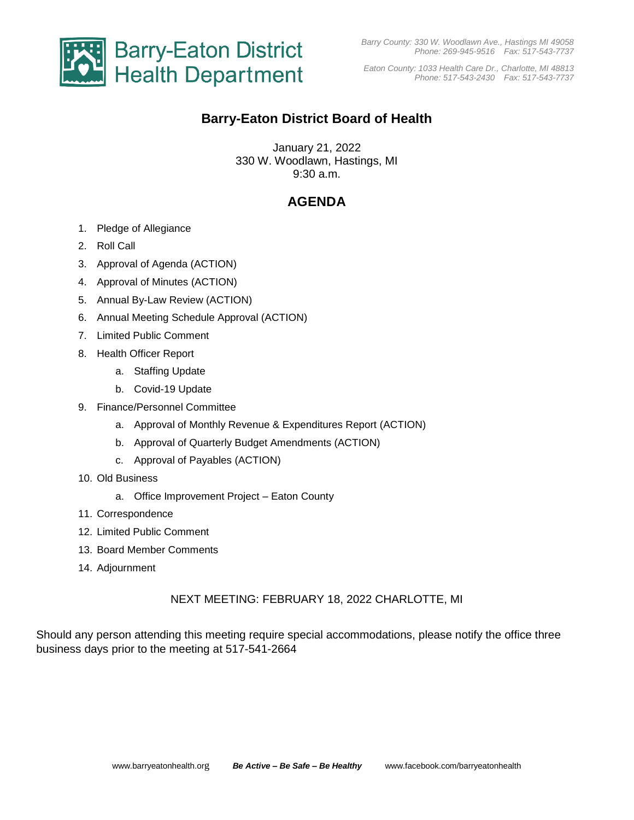

*Barry County: 330 W. Woodlawn Ave., Hastings MI 49058 Phone: 269-945-9516 Fax: 517-543-7737*

*Eaton County: 1033 Health Care Dr., Charlotte, MI 48813 Phone: 517-543-2430 Fax: 517-543-7737*

# **Barry-Eaton District Board of Health**

January 21, 2022 330 W. Woodlawn, Hastings, MI 9:30 a.m.

# **AGENDA**

- 1. Pledge of Allegiance
- 2. Roll Call
- 3. Approval of Agenda (ACTION)
- 4. Approval of Minutes (ACTION)
- 5. Annual By-Law Review (ACTION)
- 6. Annual Meeting Schedule Approval (ACTION)
- 7. Limited Public Comment
- 8. Health Officer Report
	- a. Staffing Update
	- b. Covid-19 Update
- 9. Finance/Personnel Committee
	- a. Approval of Monthly Revenue & Expenditures Report (ACTION)
	- b. Approval of Quarterly Budget Amendments (ACTION)
	- c. Approval of Payables (ACTION)
- 10. Old Business
	- a. Office Improvement Project Eaton County
- 11. Correspondence
- 12. Limited Public Comment
- 13. Board Member Comments
- 14. Adjournment

### NEXT MEETING: FEBRUARY 18, 2022 CHARLOTTE, MI

Should any person attending this meeting require special accommodations, please notify the office three business days prior to the meeting at 517-541-2664